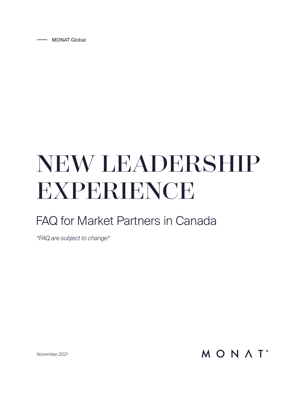MONAT Global

# NEW LEADERSHIP EXPERIENCE

# FAQ for Market Partners in Canada

*\*FAQ are subject to change\**

MONAT<sup>®</sup>

*November 2021*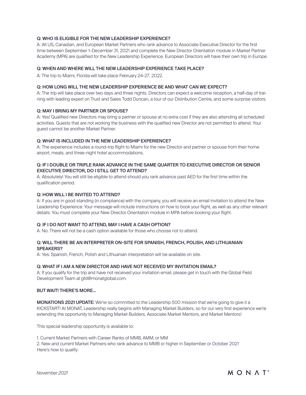# Q: WHO IS ELIGIBLE FOR THE NEW LEADERSHIP EXPERIENCE?

A: All US, Canadian, and European Market Partners who rank advance to Associate Executive Director for the first time between September 1–December 31, 2021 and complete the New Director Orientation module in Market Partner Academy (MPA) are qualified for the New Leadership Experience. European Directors will have their own trip in Europe.

# Q: WHEN AND WHERE WILL THE NEW LEADERSHIP EXPERIENCE TAKE PLACE?

A: The trip to Miami, Florida will take place February 24-27, 2022.

### Q: HOW LONG WILL THE NEW LEADERSHIP EXPERIENCE BE AND WHAT CAN WE EXPECT?

A: The trip will take place over two days and three nights. Directors can expect a welcome reception, a half-day of training with leading expert on Trust and Sales Todd Duncan, a tour of our Distribution Centre, and some surprise visitors.

#### Q: MAY I BRING MY PARTNER OR SPOUSE?

A: Yes! Qualified new Directors may bring a partner or spouse at no extra cost if they are also attending all scheduled activities. Guests that are not working the business with the qualified new Director are not permitted to attend. Your guest cannot be another Market Partner.

#### Q: WHAT IS INCLUDED IN THE NEW LEADERSHIP EXPERIENCE?

A: The experience includes a round-trip flight to Miami for the new Director and partner or spouse from their home airport, meals, and three-night hotel accommodations.

# Q: IF I DOUBLE OR TRIPLE RANK ADVANCE IN THE SAME QUARTER TO EXECUTIVE DIRECTOR OR SENIOR EXECUTIVE DIRECTOR, DO I STILL GET TO ATTEND?

A: Absolutely! You will still be eligible to attend should you rank advance past AED for the first time within the qualification period.

# Q: HOW WILL I BE INVITED TO ATTEND?

A: If you are in good standing (in compliance) with the company, you will receive an email invitation to attend the New Leadership Experience. Your message will include instructions on how to book your flight, as well as any other relevant details. You must complete your New Director Orientation module in MPA before booking your flight.

# Q: IF I DO NOT WANT TO ATTEND, MAY I HAVE A CASH OPTION?

A: No. There will not be a cash option available for those who choose not to attend.

# Q: WILL THERE BE AN INTERPRETER ON-SITE FOR SPANISH, FRENCH, POLISH, AND LITHUANIAN SPEAKERS?

A: Yes. Spanish, French, Polish and Lithuanian interpretation will be available on site.

#### Q: WHAT IF I AM A NEW DIRECTOR AND HAVE NOT RECEIVED MY INVITATION EMAIL?

A: If you qualify for the trip and have not received your invitation email, please get in touch with the Global Field Development Team at gfd@monatglobal.com.

# BUT WAIT! THERE'S MORE...

**MONATIONS 2021 UPDATE:** We're so committed to the Leadership 500 mission that we're going to give it a KICKSTART! At MONAT, Leadership really begins with Managing Market Builders, so for our very first experience we're extending the opportunity to Managing Market Builders, Associate Market Mentors, and Market Mentors!

This special leadership opportunity is available to:

1. Current Market Partners with Career Ranks of MMB, AMM, or MM

2. New and current Market Partners who rank advance to MMB or higher in September or October 2021 Here's how to qualify: